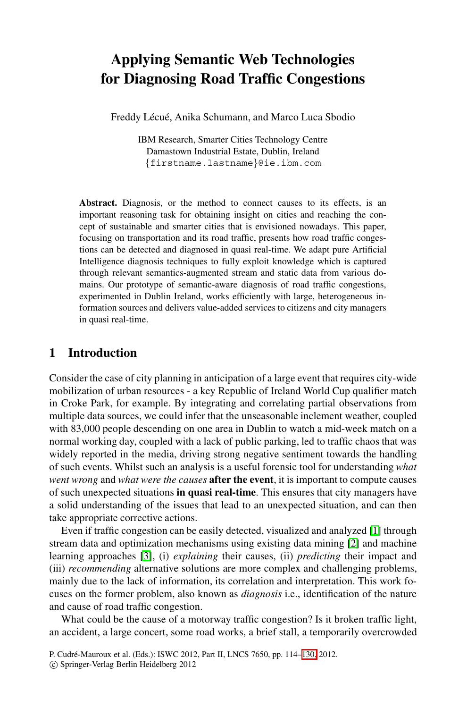# **Applying Semantic Web Technologies for Diagnosing Road Traffic Congestions**

Freddy Lécué, Anika Schumann, and Marco Luca Sbodio

IBM Research, Smarter Cities Technology Centre Damastown Industrial Estate, Dublin, Ireland {firstname.lastname}@ie.ibm.com

Abstract. Diagnosis, or the method to connect causes to its effects, is an important reasoning task for obtaining insight on cities and reaching the concept of sustainable and smarter cities that is envisioned nowadays. This paper, focusing on transportation and its road traffic, presents how road traffic congestions can be detected and diagnosed in quasi real-time. We adapt pure Artificial Intelligence diagnosis techniques to fully exploit knowledge which is captured through relevant semantics-augmented stream and static data from various domains. Our prototype of semantic-aware diagnosis of road traffic congestions, experimented in Dublin Ireland, works efficiently with large, heterogeneous information sources and delivers value-added services to citizens and city managers in quasi real-time.

## **1 Introduction**

Consider the case of city planning in anticipation of a large event that requires city-wide mobilization of urban resources - a key Republic of Ireland World Cup qualifier match in Croke Park, for example. By integrating and correlating partial observations from multiple data sources, we could infer that the unseasonable inclement weather, coupled with 83,000 people descending on one area in Dublin to [w](#page-15-0)atch a mid-week match on a normal working day, coupled with a lack of public [par](#page-15-1)king, led to traffic chaos that was w[ide](#page-15-2)ly reported in the media, driving strong negative sentiment towards the handling of such events. Whilst such an analysis is a useful forensic tool for understanding *what went wrong* and *what were the causes* **after the event**, it is important to compute causes of such unexpected situations **in quasi real-time**. This ensures that city managers have a solid understanding of the issues that lead to an unexpected situation, and can then take appropriate corrective actions.

Even if traffic congestion can be easily detected, visualized and analyzed [1] through stream data and optimization mechanisms using existing data mining [2] and machine learning approaches [3], (i) *explaining* [the](#page-16-0)ir causes, (ii) *predicting* their impact and (iii) *recommending* alternative solutions are more complex and challenging problems, mainly due to the lack of information, its correlation and interpretation. This work focuses on the former problem, also known as *diagnosis* i.e., identification of the nature and cause of road traffic congestion.

What could be the cause of a motorway traffic congestion? Is it broken traffic light, an accident, a large concert, some road works, a brief stall, a temporarily overcrowded

P. Cudr´e-Mauroux et al. (Eds.): ISWC 2012, Part II, LNCS 7650, pp. 114–130, 2012.

<sup>-</sup>c Springer-Verlag Berlin Heidelberg 2012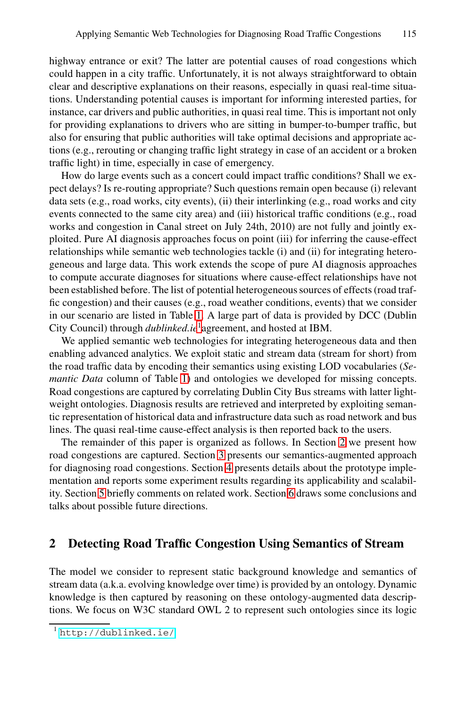highway entrance or exit? The latter are potential causes of road congestions which could happen in a city traffic. Unfortunately, it is not always straightforward to obtain clear and descriptive explanations on their reasons, especially in quasi real-time situations. Understanding potential causes is important for informing interested parties, for instance, car drivers and public authorities, in quasi real time. This is important not only for providing explanations to drivers who are sitting in bumper-to-bumper traffic, but also for ensuring that public authorities will take optimal decisions and appropriate actions (e.g., rerouting or changing traffic light strategy in case of an accident or a broken traffic light) in time, especially in case of emergency.

How do large events such as a concert could impact traffic conditions? Shall we expect delays? Is re-routing appropriate? Such questions remain open because (i) relevant data sets (e.g., road works, city events), (ii) their interlinking (e.g., road works and city events connect[ed](#page-2-0) to the same city area) and (iii) historical traffic conditions (e.g., road works and con[ge](#page-1-0)stion in Canal street on July 24th, 2010) are not fully and jointly exploited. Pure AI diagnosis approaches focus on point (iii) for inferring the cause-effect relationships while semantic web technologies tackle (i) and (ii) for integrating heterogeneous and large data. This work extends the scope of pure AI diagnosis approaches to compute [ac](#page-2-0)curate diagnoses for situations where cause-effect relationships have not been established before. The list of potential heterogeneous sources of effects (road traffic congestion) and their causes (e.g., road weather conditions, events) that we consider in our scenario are listed in Table 1. A large part of data is provided by DCC (Dublin City Council) through *dublinked.ie*1agreement, and hosted at IBM.

<span id="page-1-1"></span>We applied semantic web technologies for in[teg](#page-1-1)rating heterogeneous data and then enabling advanced [ana](#page-5-0)lytics. We exploit static and stream data (stream for short) from the road traffic data b[y e](#page-8-0)ncoding their semantics using existing LOD vocabularies (*Semantic Data* column of Table 1) and ontologies we developed for missing concepts. Road congestions are captured by co[rre](#page-15-3)lating Dublin City Bus streams with latter lightweight ontologies. Diagnosis results are retrieved and interpreted by exploiting semantic representation of historical data and infrastructure data such as road network and bus lines. The quasi real-time cause-effect analysis is then reported back to the users.

<span id="page-1-0"></span>The remainder of this paper is organized as follows. In Section 2 we present how road congestions are captured. Section 3 presents our semantics-augmented approach for diagnosing road congestions. Section 4 presents details about the prototype implementation and reports some experiment results regarding its applicability and scalability. Section 5 briefly comments on related work. Section 6 draws some conclusions and talks about possible future directions.

## **[2](http://dublinked.ie/) [Dete](http://dublinked.ie/)cting Road Traffic Congestion Using Semantics of Stream**

The model we consider to represent static background knowledge and semantics of stream data (a.k.a. evolving knowledge over time) is provided by an ontology. Dynamic knowledge is then captured by reasoning on these ontology-augmented data descriptions. We focus on W3C standard OWL 2 to represent such ontologies since its logic

<sup>1</sup> http://dublinked.ie/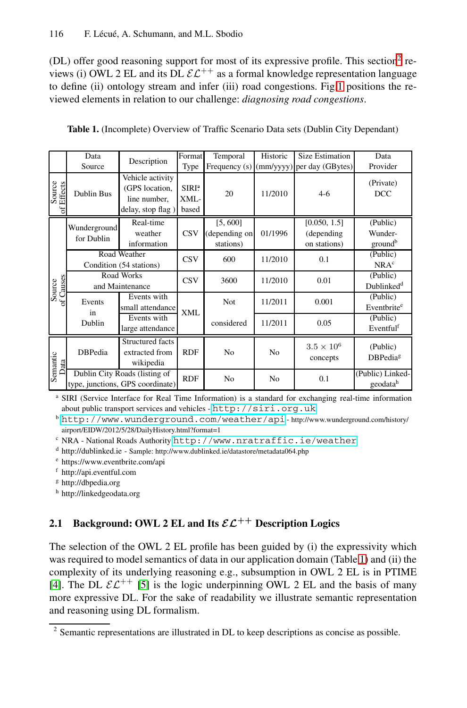<span id="page-2-0"></span>(DL) offer good reasoning support for most of its expressive profile. This section<sup>2</sup> reviews (i) OWL 2 EL and its DL  $\mathcal{EL}^{++}$  as a formal knowledge representation language to define (ii) ontology stream and infer (iii) road congestions. Fig.1 positions the reviewed elements in relation to our challenge: *diagnosing road congestions*.

|                         | Data<br>Source             | Description                                                             | Format<br>Type                     | Temporal<br>Frequency (s)              | Historic       | <b>Size Estimation</b><br>(mm/yyyy) per day (GBytes) | Data<br>Provider                           |
|-------------------------|----------------------------|-------------------------------------------------------------------------|------------------------------------|----------------------------------------|----------------|------------------------------------------------------|--------------------------------------------|
| Source<br>Effects<br>٩Ë | Dublin Bus                 | Vehicle activity<br>(GPS location,<br>line number,<br>delay, stop flag) | SIRI <sup>a</sup><br>XML-<br>based | 20                                     | 11/2010        | $4-6$                                                | (Private)<br><b>DCC</b>                    |
|                         | Wunderground<br>for Dublin | Real-time<br>weather<br>information                                     | <b>CSV</b>                         | [5, 600]<br>(depending on<br>stations) | 01/1996        | [0.050, 1.5]<br>(depending)<br>on stations)          | (Public)<br>Wunder-<br>ground <sup>b</sup> |
|                         |                            | Road Weather<br>Condition (54 stations)                                 | <b>CSV</b>                         | 600                                    | 11/2010        | 0.1                                                  | (Public)<br>NRA <sup>c</sup>               |
| of Causes<br>Source     |                            | Road Works<br>and Maintenance                                           | <b>CSV</b>                         | 3600                                   | 11/2010        | 0.01                                                 | (Public)<br>Dublinked <sup>d</sup>         |
|                         | Events<br>in<br>Dublin     | Events with<br>small attendance                                         | <b>XML</b>                         |                                        | 11/2011        | 0.001                                                | (Public)<br>Eventbrite <sup>e</sup>        |
|                         |                            | Events with<br>large attendance                                         |                                    | considered                             | 11/2011        | 0.05                                                 | (Public)<br>Eventfulf                      |
| Semantic<br>Data        | <b>DBPedia</b>             | Structured facts<br>extracted from<br>wikipedia                         | <b>RDF</b>                         | N <sub>0</sub>                         | N <sub>0</sub> | $3.5 \times 10^6$<br>concepts                        | (Public)<br>DBPedia <sup>g</sup>           |
|                         |                            | Dublin City Roads (listing of<br>type, junctions, GPS coordinate)       | <b>RDF</b>                         | N <sub>0</sub>                         | N <sub>0</sub> | 0.1                                                  | (Public) Linked-<br>geodatah               |

**Table 1.** (Incomplete) Overview of Traffic Scenario Data sets (Dublin City Dependant)

<sup>a</sup> SIRI (Service Interface for Real Time Information) is a standard for exchanging real-time information about public transport services and vehicles - http://siri.org.uk

b http://www.wunderground.com/weather/api-http://www.wunderground.com/history/ airport/EIDW/2012/5/28/DailyHistory.html?format=1

<sup>c</sup> NRA - National Roads Authority http://www.nratraffic.ie/weather

<sup>d</sup> http://dublinked.ie - Sample: http://www.dublinked.ie/datastore/metadata064.php

<sup>e</sup> https://www.eventbrite.com/api

<sup>f</sup> http://api.eventful.com

<sup>g</sup> [h](#page-15-4)ttp://dbpedia.org

<sup>h</sup> http://linkedgeodata.org

## **2.1** Background: OWL 2 EL and Its  $\mathcal{EL}^{++}$  Description Logics

The selection of the OWL 2 EL profile has been guided by (i) the expressivity which was required to model semantics of data in our application domain (Table 1) and (ii) the complexity of its underlying reasoning e.g., subsumption in OWL 2 EL is in PTIME [4]. The DL  $\mathcal{EL}^{++}$  [5] is the logic underpinning OWL 2 EL and the basis of many more expressive DL. For the sake of readability we illustrate semantic representation and reasoning using DL formalism.

<sup>&</sup>lt;sup>2</sup> Semantic representations are illustrated in DL to keep descriptions as concise as possible.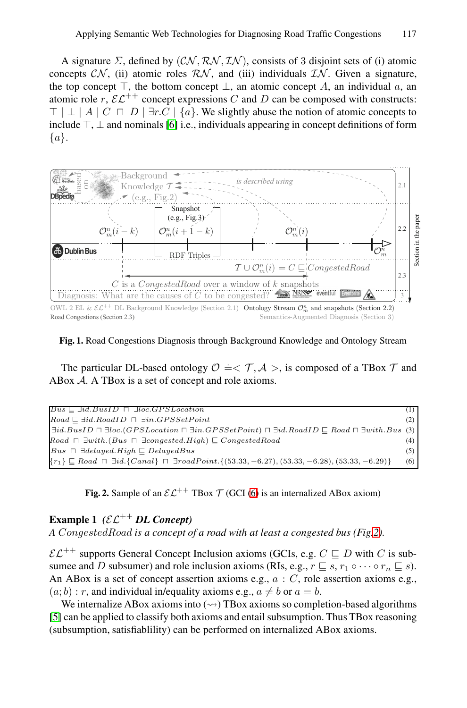A signature  $\Sigma$ , defined by  $(C\mathcal{N}, \mathcal{RN}, \mathcal{IN})$ , consists of 3 disjoint sets of (i) atomic concepts  $CN$ , (ii) atomic roles  $RN$ , and (iii) individuals  $IN$ . Given a signature, the top concept  $\top$ , the bottom concept  $\bot$ , an atomic concept A, an individual a, an atomic role r,  $\mathcal{EL}^{++}$  concept expressions C and D can be composed with constructs:  $\top | \perp | A | C \sqcap D | \exists r.C | \{a\}.$  We slightly abuse the notion of atomic concepts to include  $\top$ ,  $\bot$  and nominals [6] i.e., individuals appearing in concept definitions of form  ${a}.$ 

<span id="page-3-1"></span>

<span id="page-3-3"></span><span id="page-3-2"></span><span id="page-3-0"></span>**Fig. 1.** Road Congestions Diagnosis through Background Knowledge and Ontology Stream

The particular DL-based ontology  $\mathcal{O} \leq \mathcal{T}, \mathcal{A} >$ , is composed of a TBox  $\mathcal{T}$  and ABox A. A TBox is a set of concept and role axioms.

| $Bus \sqsubseteq \exists id.BusID \sqcap \exists loc.GPSLocation$                                                                                     | (1) |
|-------------------------------------------------------------------------------------------------------------------------------------------------------|-----|
| $Read \sqsubset \exists id. RoadID \sqcap \exists in. GPSSetPoint$                                                                                    | (2) |
| $\exists id.BusID \sqcap \exists loc.(GPSLocation \sqcap \exists in.GPSSetPoint) \sqcap \exists id.RoadID \sqsubset Road \sqcap \exists with.Bus (3)$ |     |
| $Read \sqcap \exists with. (Bus \sqcap \exists congested. High) \sqsubset Congested Road$                                                             | (4) |
| $Bus \sqcap \exists delayed.High \sqsubset DelayedBus$                                                                                                | (5) |
| $\{r_1\} \sqsubseteq Road \sqcap \exists id. \{Canal\} \sqcap \exists roadPoint. \{(53.33, -6.27), (53.33, -6.28), (53.33, -6.29)\}\$                 | (6) |

**Fig. 2.** Sample of an  $\mathcal{EL}^{++}$  TBox  $\mathcal{T}$  (GCI (6) is an internalized ABox axiom)

## **Example 1**  $(E\mathcal{L}^{++}$  *DL Concept*)

*A* CongestedRoad *is a concept of a road with at least a congested bus (Fig.2).*

 $\mathcal{EL}^{++}$  supports General Concept Inclusion axioms (GCIs, e.g.  $C \sqsubseteq D$  with C is subsumee and D subsumer) and role inclusion axioms (RIs, e.g.,  $r \sqsubseteq s$ ,  $r_1 \circ \cdots \circ r_n \sqsubseteq s$ ). An ABox is a set of concept assertion axioms e.g., a : C, role assertion axioms e.g.,  $(a; b) : r$ , and individual in/equality axioms e.g.,  $a \neq b$  or  $a = b$ .

We internalize ABox axioms into  $(\leadsto)$  TBox axioms so completion-based algorithms [5] can be applied to classify both axioms and entail subsumption. Thus TBox reasoning (subsumption, satisfiablility) can be performed on internalized ABox axioms.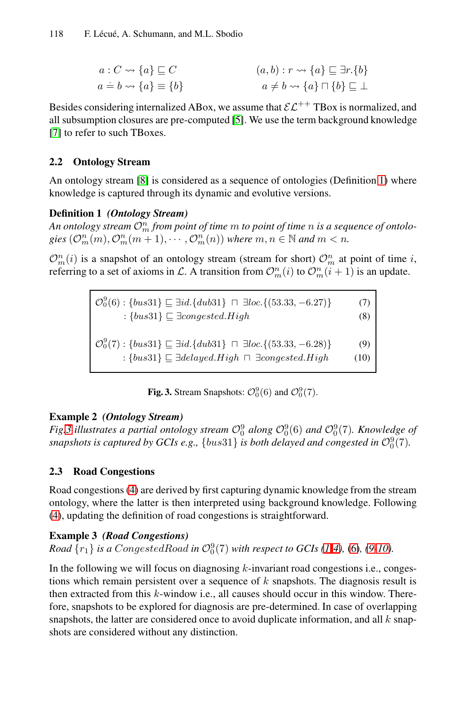<span id="page-4-0"></span>
$$
a: C \rightsquigarrow \{a\} \sqsubseteq C
$$
  
\n
$$
a \doteq b \rightsquigarrow \{a\} \sqsubseteq \{b\}
$$
  
\n
$$
(a, b): r \rightsquigarrow \{a\} \sqsubseteq \exists r. \{b\}
$$
  
\n
$$
a \neq b \rightsquigarrow \{a\} \sqcap \{b\} \sqsubseteq \bot
$$

Besides considering internalized ABox, we assume that  $\mathcal{EL}^{++}$  TBox is normalized, and all subsumption closures are pre-computed [5]. We use the term background knowledge [7] to refer to such TBoxes.

## <span id="page-4-1"></span>**2.2 Ontology Stream**

<span id="page-4-2"></span>An ontology stream [8] is considered as a sequence of ontologies (Definition 1) where knowledge is captured through its dynamic and evolutive versions.

## **Definition 1** *(Ontology Stream)*

*An ontology stream* O*<sup>n</sup> <sup>m</sup> from point of time* m *to point of time* n *is a sequence of ontolo*gies  $(\mathcal{O}_m^n(m), \mathcal{O}_m^n(m+1), \cdots, \mathcal{O}_m^n(n))$  where  $m, n \in \mathbb{N}$  and  $m < n$ .

 $\mathcal{O}_m^n(i)$  is a snapshot of an ontology stream (stream for short)  $\mathcal{O}_m^n$  at point of time i, referring to a set of axioms in  $\mathcal{L}$ . A transition from  $\mathcal{O}_m^n(i)$  to  $\mathcal{O}_m^n(i+1)$  is an update.

<span id="page-4-3"></span>

| $\mathcal{O}_0^9(6)$ : {bus31} $\sqsubseteq \exists id$ .{dub31} $\sqcap \exists loc$ .{(53.33, -6.27)}<br>: $\{bus31\} \sqsubseteq \exists congested.High$                             | (7)<br>(8)  |
|-----------------------------------------------------------------------------------------------------------------------------------------------------------------------------------------|-------------|
| $\mathcal{O}_0^9(7)$ : {bus31} $\sqsubseteq \exists id.$ {dub31} $\sqcap \exists loc.$ {(53.33, -6.28)}<br>: $\{bus31\} \sqsubseteq \exists delayed.High \sqcap \exists congested.High$ | (9)<br>(10) |

**Fig. 3.** Stream Snapshots:  $\mathcal{O}_0^9(6)$  and  $\mathcal{O}_0^9(7)$ .

### **Example 2** *(Ontology Stream)*

Fig.3 illustrates a partial ontology stream  $\mathcal{O}_0^9$  along  $\mathcal{O}_0^9(6)$  and  $\mathcal{O}_0^9(7)$ . Knowledge of *snapshots [is](#page-3-1) capture[d](#page-3-3) by GCIs e.g.,*  $\{bus31\}$  *is [bo](#page-3-2)t[h](#page-3-3) del[ay](#page-4-1)[ed](#page-4-2) and congested in*  $\mathcal{O}_0^9(7)$ *.* 

## **2.3 Road Congestions**

Road congestions (4) are derived by first capturing dynamic knowledge from the stream ontology, where the latter is then interpreted using background knowledge. Following (4), updating the definition of road congestions is straightforward.

## **Example 3** *(Road Congestions)*

*Road*  $\{r_1\}$  *is a CongestedRoad in*  $\mathcal{O}_0^9(7)$  *with respect to GCIs* (1-4), (6), (9-10).

In the following we will focus on diagnosing  $k$ -invariant road congestions i.e., congestions which remain persistent over a sequence of  $k$  snapshots. The diagnosis result is then extracted from this k-window i.e., all causes should occur in this window. Therefore, snapshots to be explored for diagnosis are pre-determined. In case of overlapping snapshots, the latter are considered once to avoid duplicate information, and all  $k$  snapshots are considered without any distinction.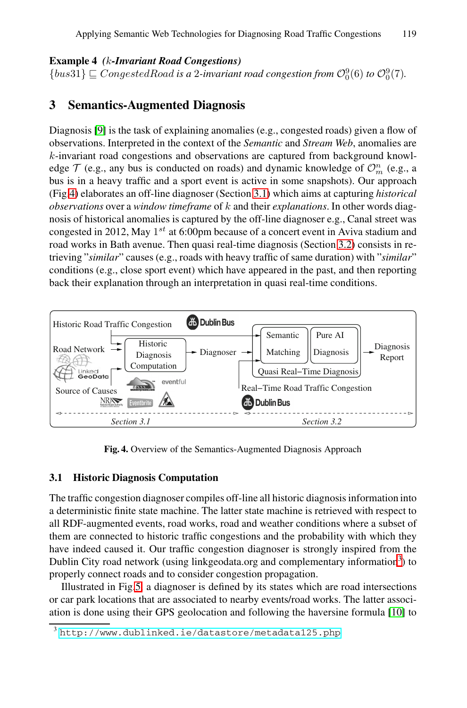### <span id="page-5-0"></span>**Example 4** *(*k*-Invariant Road Congestions)*

 ${bus31} \sqsubseteq Congested Road is a 2-invariant road congestion from  $\mathcal{O}_0^9(6)$  to  $\mathcal{O}_0^9(7)$ .$ 

## **3 Semantics-Augme[nted](#page-5-1) Diagnosis**

Diagnosis [9] is the task of explaining anomalies (e.g., congested roads) given a flow of observations. Interpreted in the context of the *Se[man](#page-7-0)tic* and *Stream Web*, anomalies are k-invariant road congestions and observations are captured from background knowledge  $\mathcal T$  (e.g., any bus is conducted on roads) and dynamic knowledge of  $\mathcal O_m^n$  (e.g., a bus is in a heavy traffic and a sport event is active in some snapshots). Our approach (Fig.4) elaborates an off-line diagnoser (Section 3.1) which aims at capturing *historical observations* over a *window timeframe* of k and their *explanations*. In other words diagnosis of historical anomalies is captured by the off-line diagnoser e.g., Canal street was congested in 2012, May 1*st* at 6:00pm because of a concert event in Aviva stadium and road works in Bath avenue. Then quasi real-time diagnosis (Section 3.2) consists in retrieving "*similar*" causes (e.g., roads with heavy traffic of same duration) with "*similar*" conditions (e.g., close sport event) which have appeared in the past, and then reporting back their explanation through an interpretation in quasi real-time conditions.

<span id="page-5-1"></span>

**Fig. 4.** Overview of the Semantics-Augmented Diagnosis Approach

## **3.1 Historic Diagnosis Computation**

[Th](#page-6-0)e traffic congestion diagnoser compiles off-line all historic diagnosis information into a deterministic finite state machine. The latter state machine [is re](#page-16-1)trieved with respect to all RDF-augmented events, road works, road and weather conditions where a subset of [them are connected to historic traffic congestions](http://www.dublinked.ie/datastore/metadata125.php) and the probability with which they have indeed caused it. Our traffic congestion diagnoser is strongly inspired from the Dublin City road network (using linkgeodata.org and complementary information<sup>3</sup>) to properly connect roads and to consider congestion propagation.

Illustrated in Fig.5, a diagnoser is defined by its states which are road intersections or car park locations that are associated to nearby events/road works. The latter association is done using their GPS geolocation and following the haversine formula [10] to

<sup>3</sup> http://www.dublinked.ie/datastore/metadata125.php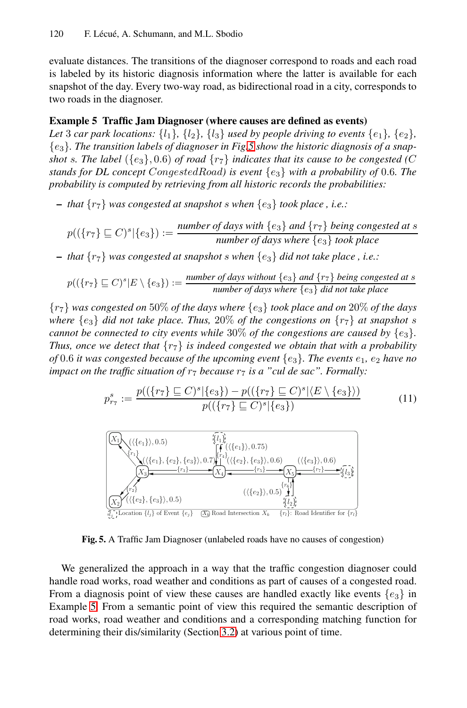evaluate distances. The transitions of the diagnoser correspond to roads and each road is labeled by its historic diagnosis information where the latter is available for each snapshot of the day. Every two-way road, as bidirectional road in a city, corresponds to two roads in the diagnoser.

### **Example 5 Traffic Jam Diagnoser (where causes are defined as events)**

*Let* 3 *car park locations:*  $\{l_1\}$ ,  $\{l_2\}$ ,  $\{l_3\}$  *used by people driving to events*  $\{e_1\}$ ,  $\{e_2\}$ , {e3}*. The transition labels of diagnoser in Fig.5 show the historic diagnosis of a snapshot s. The label* ( $\{e_3\}$ , 0.6) *of road*  $\{r_7\}$  *indicates that its cause to be congested* (*C stands for DL concept* CongestedRoad*) is event* {e3} *with a probability of* 0.6*. The probability is computed by retrieving from all historic records the probabilities:*

**–** *that* {r7} *was congested at snapshot* s *when* {e3} *took place , i.e.:*

$$
p((\lbrace r_7 \rbrace \sqsubseteq C)^s | \lbrace e_3 \rbrace) := \frac{\text{number of days with } \lbrace e_3 \rbrace \text{ and } \lbrace r_7 \rbrace \text{ being congested at s}}{\text{number of days where } \lbrace e_3 \rbrace \text{ took place}}
$$

**–** *that* {r7} *was congested at snapshot* s *when* {e3} *did not take place , i.e.:*

$$
p((\lbrace r_7 \rbrace \sqsubseteq C)^s | E \setminus \lbrace e_3 \rbrace) := \frac{\text{number of days without } \lbrace e_3 \rbrace \text{ and } \lbrace r_7 \rbrace \text{ being congested at s}}{\text{number of days where } \lbrace e_3 \rbrace \text{ did not take place}}
$$

{r7} *was congested on* 50% *of the days where* {e3} *took place and on* 20% *of the days where* {e3} *did not take place. Thus,* 20% *of the congestions on* {r7} *at snapshot* s *cannot be connected to city events while* 30% *of the congestions are caused by*  $\{e_3\}$ *. Thus, once we detect that*  $\{r_7\}$  *is indeed congested we obtain that with a probability of* 0.6 *it was congested because of the upcoming event*  $\{e_3\}$ *. The events*  $e_1$ *,*  $e_2$  *have no impact on the traffic situation of*  $r<sub>7</sub>$  *because*  $r<sub>7</sub>$  *is a "cul de sac". Formally:* 

<span id="page-6-0"></span>
$$
p_{r_7}^s := \frac{p((\{r_7\} \sqsubseteq C)^s | \{e_3\}) - p((\{r_7\} \sqsubseteq C)^s | \langle E \setminus \{e_3\} \rangle)}{p((\{r_7\} \sqsubseteq C)^s | \{e_3\})}
$$
(11)



**Fig. 5.** A Traf[fic](#page-7-0) [Ja](#page-7-0)m Diagnoser (unlabeled roads have no causes of congestion)

We generalized the approach in a way that the traffic congestion diagnoser could handle road works, road weather and conditions as part of causes of a congested road. From a diagnosis point of view these causes are handled exactly like events  $\{e_3\}$  in Example 5. From a semantic point of view this required the semantic description of road works, road weather and conditions and a corresponding matching function for determining their dis/similarity (Section 3.2) at various point of time.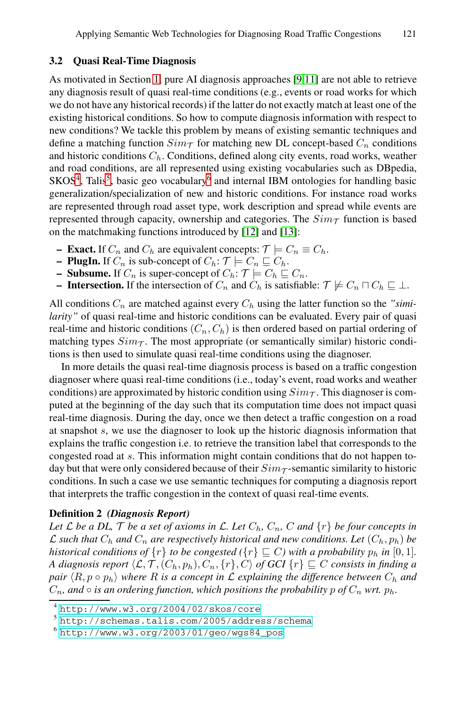## <span id="page-7-0"></span>**3.2 Quasi Real-Time Diagnosis**

As motivated in [Se](#page-7-1)ction 1, pure AI diagnosis approaches [9,11] are not able to retrieve any diagnosis result of quasi real-time conditions (e.g., events or road works for which we do not have any historical records) if the latter do not exactly match at least one of the existing historical conditions. So how to compute diagnosis information with respect to new conditions? We tackl[e thi](#page-16-2)s pro[blem](#page-16-3) by means of existing semantic techniques and define a matching function  $Sim_{\mathcal{T}}$  for matching new DL concept-based  $C_n$  conditions and historic conditions C*h*. Conditions, defined along city events, road works, weather and road conditions, are all represented using existing vocabularies such as DBpedia,  $SKOS<sup>4</sup>$ , Talis<sup>5</sup>, basic geo vocabulary<sup>6</sup> and internal IBM ontologies for handling basic generalization/specialization of new and historic conditions. For instance road works are represented through road asset type, work description and spread while events are represented through capacity, ownership and categories. The  $Sim_{\mathcal{T}}$  function is based on the matchmaking functions introduced by [12] and [13]:

- **Exact.** If  $C_n$  and  $C_h$  are equivalent concepts:  $\mathcal{T} \models C_n \equiv C_h$ .
- **PlugIn.** If  $C_n$  is sub-concept of  $C_h$ :  $\mathcal{T} \models C_n \sqsubseteq C_h$ .
- **Subsume.** If  $C_n$  is super-concept of  $C_h$ :  $\mathcal{T} \models C_h \sqsubseteq C_n$ .
- **Intersection.** If the intersection of  $C_n$  and  $C_h$  is satisfiable:  $\mathcal{T} \not\models C_n \sqcap C_h \sqsubseteq \bot$ .

All conditions  $C_n$  are matched against every  $C_h$  using the latter function so the "simi*larity*" of quasi real-time and historic conditions can be evaluated. Every pair of quasi real-time and historic conditions  $(C_n, C_h)$  is then ordered based on partial ordering of matching types  $Sim_{\mathcal{T}}$ . The most appropriate (or semantically similar) historic conditions is then used to simulate quasi real-time conditions using the diagnoser.

In more details the quasi real-time diagnosis process is based on a traffic congestion diagnoser where quasi real-time conditions (i.e., today's event, road works and weather conditions) are approximated by historic condition using  $Sim_{\mathcal{T}}$ . This diagnoser is computed at the beginning of the day such that its computation time does not impact quasi real-time diagnosis. During the day, once we then detect a traffic congestion on a road at snapshot s, we use the diagnoser to look up the historic diagnosis information that explains the traffic congestion i.e. to retrieve the transition label that corresponds to the congested road at s. This information might contain conditions that do not happen today but that were only considered because of their  $Sim_{\tau}$ -semantic similarity to historic conditions. In such a case we use semantic techniques for computing a diagnosis report that interprets the traffic congestion in the context of quasi real-time events.

### <span id="page-7-1"></span>**Definition 2** *[\(Diagnosis Repo](http://www.w3.org/2004/02/skos/core)rt)*

*Let*  $\mathcal L$  *be a DL,*  $\mathcal T$  *[be a set of axioms in](http://schemas.talis.com/2005/address/schema)*  $\mathcal L$ *. Let*  $C_h$ *,*  $C_n$ *,*  $C$  *and*  $\{r\}$  *be four concepts in*  $\mathcal L$  *such that*  $C_h$  *and*  $C_n$  *[are](http://www.w3.org/2003/01/geo/wgs84_pos) [respectiv](http://www.w3.org/2003/01/geo/wgs84_pos)ely historical and new conditions. Let*  $(C_h, p_h)$  *be historical conditions of*  $\{r\}$  *to be congested*  $(\{r\} \sqsubseteq C)$  *with a probability*  $p_h$  *in*  $[0, 1]$ *. A diagnosis report*  $\langle \mathcal{L}, \mathcal{T}, (C_h, p_h), C_n, \{r\}, C \rangle$  *of GCI*  $\{r\} \subseteq C$  *consists in finding a pair*  $\langle R, p \circ p_h \rangle$  *where* R *is a concept in*  $\mathcal L$  *explaining the difference between*  $C_h$  *and*  $C_n$ , and  $\circ$  *is an ordering function, which positions the probability p of*  $C_n$  *wrt.*  $p_h$ *.* 

<sup>4</sup> http://www.w3.org/2004/02/skos/core

<sup>5</sup> http://schemas.talis.com/2005/address/schema

 $6$ http://www.w3.org/2003/01/geo/wgs84\_pos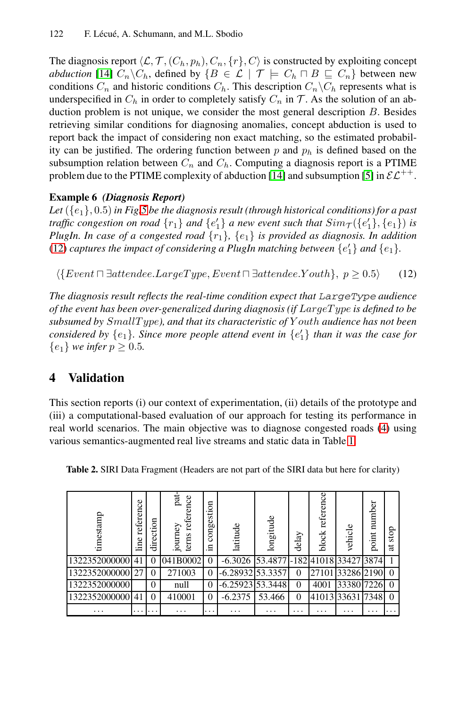The diagnosis report  $\langle \mathcal{L}, \mathcal{T}, (C_h, p_h), C_n, \{r\}, C \rangle$  is constructed by exploiting concept *abduction* [14]  $C_n \setminus C_h$  $C_n \setminus C_h$ , defined [by](#page-16-4)  $\{B \in \mathcal{L} \mid \mathcal{T} \models C_h \sqcap B \sqsubseteq C_n\}$  between new conditions  $C_n$  and historic conditions  $C_h$ . This description  $C_n \backslash C_h$  represents what is underspecified in  $C_h$  in order to completely satisfy  $C_n$  in  $\mathcal T$ . As the solution of an abd[uct](#page-6-0)ion problem is not unique, we consider the most general description B. Besides retrieving similar conditions for diagnosing anomalies, concept abduction is used to report back the impact of considering non exact matching, so the estimated probability can be justified. The ordering function between p and p*<sup>h</sup>* is defined based on the subsumption relation between  $C_n$  and  $C_h$ . Computing a diagnosis report is a PTIME problem due to the PTIME complexity of abduction [14] and subsumption [5] in  $\mathcal{EL}^{++}$ .

## <span id="page-8-0"></span>**Example 6** *(Diagnosis Report)*

*Let* ({e1}, 0.5)*in Fig.5 be the diagnosis result (through historical conditions) for a past traffic congestion on road*  $\{r_1\}$  *and*  $\{e'_1\}$  *a new event such that*  $Sim_{\mathcal{T}}(\{e'_1\}, \{e_1\})$  *is PlugIn. In case of a congested road*  $\{r_1\}$ ,  $\{e_1\}$  *is provided as diagnosis. In addition* (12) *captures the impact of considering a PlugIn matching between*  $\{e'_1\}$  and  $\{e_1\}$ .

 $\langle$ {Event  $\sqcap$  ∃attendee.LargeType, Event  $\sqcap$  ∃attendee.Youth},  $p \ge 0.5$  (12)

*The diagnosis result reflects the real-time condition expect that* LargeType *audience of the event has been over-generalized during diagnosis (if* LargeT ype *is defined to be subsumed by* SmallT ype*), and that its characteristic of* Y outh *audience has not been considered by* {e1}*. Since more people attend ev[ent](#page-2-0) in* {e <sup>1</sup>} *than it was the case for*  ${e_1}$ *we infer*  $p \geq 0.5$ *.* 

## **4 Validation**

This section reports (i) our context of experimentation, (ii) details of the prototype and (iii) a computational-based evaluation of our approach for testing its performance in real world scenarios. The main objective was to diagnose congested roads (4) using various semantics-augmented real live streams and static data in Table 1.

| Table 2. SIRI Data Fragment (Headers are not part of the SIRI data but here for clarity) |  |  |
|------------------------------------------------------------------------------------------|--|--|
|------------------------------------------------------------------------------------------|--|--|

| timestamp     | reference<br>line | direction | pat-<br>reference<br>journey<br>terns | g<br>гá<br>تة<br>$\frac{2}{3}$<br>.⊟ | latitude           | longitude | delay    | reference<br>block | vehicle           | number<br>point | stop<br>ಡ |
|---------------|-------------------|-----------|---------------------------------------|--------------------------------------|--------------------|-----------|----------|--------------------|-------------------|-----------------|-----------|
| 1322352000000 | 41                | 0         | 041B0002                              | $\theta$                             | $-6.3026$          | 53.4877   |          |                    | -182 410 18 33427 | 3874            |           |
| 1322352000000 | 27                | $\Omega$  | 271003                                |                                      | $-6.28932$ 53.3357 |           | $\Omega$ | 27101              | 33286 2190        |                 |           |
| 1322352000000 |                   | $\theta$  | null                                  |                                      | $-6.25923$ 53.3448 |           | $\Omega$ | 4001               | 33380 7226        |                 |           |
| 1322352000000 | 41                | $\theta$  | 410001                                | $\theta$                             | $-6.2375$          | 53.466    | $\Omega$ |                    | 41013 33631 7348  |                 | $\Omega$  |
| .             | .                 | $\cdots$  | .                                     | $\cdots$                             | .                  | .         | .        | .                  | .                 |                 | .         |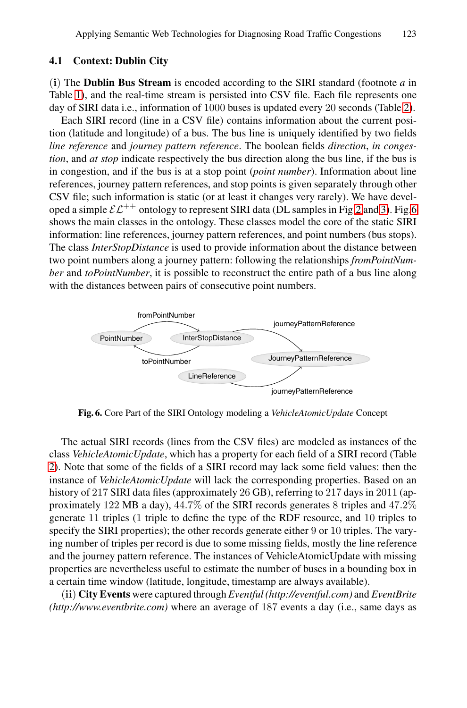### <span id="page-9-1"></span>**4.1 Context: Dublin City**

(**i**) The **Dublin Bus Stream** is encoded according to the SIRI standard (footnote *a* in Table 1), and the real-time stream is persisted into CSV file. Each file represents one day of SIRI data i.e., information of 1000 buses is u[pda](#page-3-0)ted [ev](#page-4-3)ery [20](#page-9-0) seconds (Table 2).

Each SIRI record (line in a CSV file) contains information about the current position (latitude and longitude) of a bus. The bus line is uniquely identified by two fields *line reference* and *journey pattern reference*. The boolean fields *direction*, *in congestion*, and *at stop* indicate respectively the bus direction along the bus line, if the bus is in congestion, and if the bus is at a stop point (*point number*). Information about line references, journey pattern references, and stop points is given separately through other CSV file; such information is static (or at least it changes very rarely). We have developed a simple  $\mathcal{EL}^{++}$  ontology to represent SIRI data (DL samples in Fig.2 and 3). Fig.6 shows the main classes in the ontology. These classes model the core of the static SIRI information: line references, journey pattern references, and point numbers (bus stops). The class *InterStopDistance* is used to provide information about the distance between two point numbers along a journey pattern: following the relationships *fromPointNumber* and *toPointNumber*, it is possible to reconstruct the entire path of a bus line along with the distances between pairs of consecutive point numbers.

<span id="page-9-0"></span>

**Fig. 6.** Core Part of the SIRI Ontology modeling a *VehicleAtomicUpdate* Concept

The actual SIRI records (lines from the CSV files) are modeled as instances of the class *VehicleAtomicUpdate*, which has a property for each field of a SIRI record (Table 2). Note that some of the fields of a SIRI record may lack some field values: then the instance of *VehicleAtomicUpdate* will lack the corresponding properties. Based on an history of 217 SIRI data files (approximately 26 GB), referring to 217 days in 2011 (approximately 122 MB a day), 44.7% of the SIRI records generates 8 triples and 47.2% generate 11 triples (1 triple to define the type of the RDF resource, and 10 triples to specify the SIRI properties); the other records generate either 9 or 10 triples. The varying number of triples per record is due to some missing fields, mostly the line reference and the journey pattern reference. The instances of VehicleAtomicUpdate with missing properties are nevertheless useful to estimate the number of buses in a bounding box in a certain time window (latitude, longitude, timestamp are always available).

(**ii**) **City Events** were captured through *Eventful (http://eventful.com)* and *EventBrite (http://www.eventbrite.com)* where an average of 187 events a day (i.e., same days as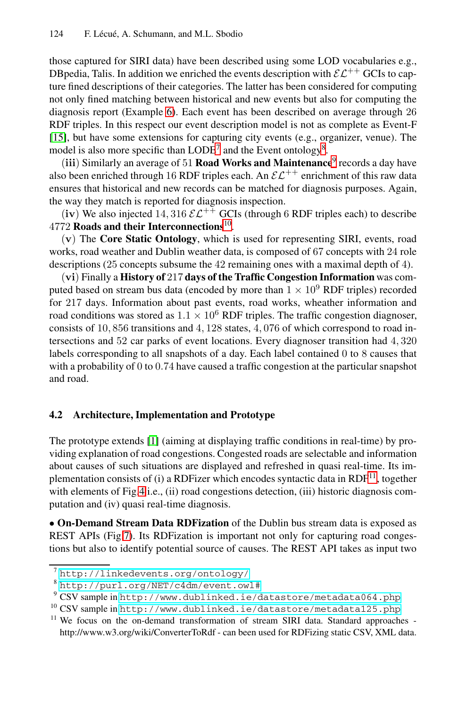those captured for [SI](#page-10-0)RI data) have been des[cr](#page-10-1)i[be](#page-10-2)d using some LOD vocabularies e.g., DBpedia, Talis. In addition we enriched the events description with  $\mathcal{EL}^{++}$  GCIs to capture fined descriptions of their categories. The latter has been considered for computing not only fined matching between historical and new events but also for computing the diagnosis report (Example 6). Each event has been described on average through 26 RDF triples. In this r[esp](#page-10-3)ect our event description model is not as complete as Event-F [15], but have some extensions for capturing city events (e.g., organizer, venue). The model is also more specific than  $LODE<sup>7</sup>$  and the Event ontology<sup>8</sup>.

(**iii**) Similarly an average of 51 **Road Works and Maintenance**<sup>9</sup> records a day have also been enriched through 16 RDF triples each. An  $\mathcal{EL}^{++}$  enrichment of this raw data ensures that historical and new records can be matched for diagnosis purposes. Again, the way they match is reported for diagnosis inspection.

<span id="page-10-4"></span>(**iv**) We also injected 14, 316  $\mathcal{EL}^{++}$  GCIs (through 6 RDF triples each) to describe 4772 **Roads and their Interconnections**10.

(**v**) The **Core Static Ontology**, which is used for representing SIRI, events, road works, road weather and Dublin weather data, is composed of 67 concepts with 24 role descriptions (25 concepts subsume the 42 remaining ones with a maximal depth of 4).

(**vi**) Finally a **History of** 217 **days of the Traffic Congestion Information** was computed based on stream bus data (encoded by more than  $1 \times 10^9$  RDF triples) recorded for 217 days. Information about past events, road works, wheather information and road conditions was stored as  $1.1 \times 10^6$  RDF triples. The traffic congestion diagnoser, consists of 10, 856 transitions and 4, 128 states, 4, 076 of which correspond to road inters[ect](#page-15-0)ions and 52 car parks of event locations. Every diagnoser transition had 4, 320 labels corresponding to all snapshots of a day. Each label contained 0 to 8 causes that with a probability of 0 to 0.74 have caused a traffic congestion at the particular snapshot and road.

## <span id="page-10-2"></span><span id="page-10-1"></span><span id="page-10-0"></span>**4.2 Architecture, Implementation and Prototype**

<span id="page-10-3"></span>The prototype extends [1] (aiming at displaying traffic conditions in real-time) by providing explanation of road congestions. Congested roads are selectable and information about causes of such situations are displayed and refreshed in quasi real-time. Its im[plementation consists of \(i\) a](http://linkedevents.org/ontology/) RDFizer which encodes syntactic data in  $RDF<sup>11</sup>$ , together [with elements of Fig.4 i.e., \(ii\)](http://purl.org/NET/c4dm/event.owl#) road congestions detection, (iii) historic diagnosis com[putation](http://www.dublinked.ie/datastore/metadata064.php) [and](http://www.dublinked.ie/datastore/metadata064.php) [\(iv\)](http://www.dublinked.ie/datastore/metadata064.php) [quasi](http://www.dublinked.ie/datastore/metadata064.php) [real-time](http://www.dublinked.ie/datastore/metadata064.php) [diagnosis.](http://www.dublinked.ie/datastore/metadata064.php)

• **On-Demand Stream Data RDFization** of the Dublin bus stream data is exposed as REST APIs (Fig.7). Its RDFization is important not only for capturing road congestions but also to identify potential source of causes. The REST API takes as input two

<sup>7</sup> http://linkedevents.org/ontology/

<sup>8</sup> http://purl.org/NET/c4dm/event.owl#

<sup>9</sup> CSV sample in http://www.dublinked.ie/datastore/metadata064.php

<sup>10</sup> CSV sample in http://www.dublinked.ie/datastore/metadata125.php

<sup>&</sup>lt;sup>11</sup> We focus on the on-demand transformation of stream SIRI data. Standard approaches http://www.w3.org/wiki/ConverterToRdf - can been used for RDFizing static CSV, XML data.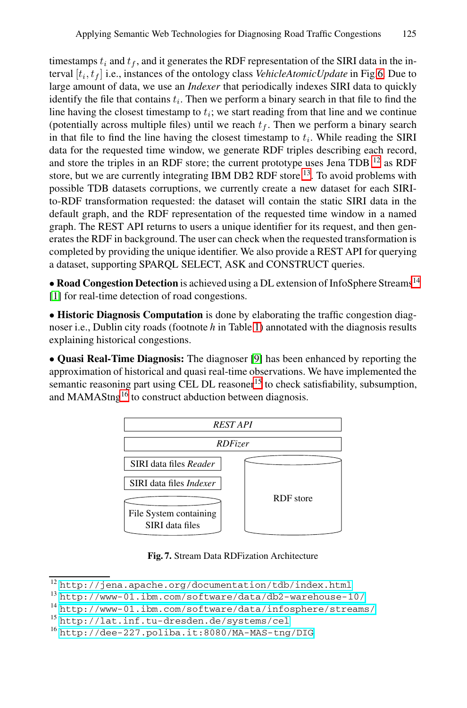timestamps  $t_i$  and  $t_f$ , and it generates the RDF represent[atio](#page-11-0)n of the SIRI data in the interval [t*i*, t*<sup>f</sup>* ] i.e., instances of the ontol[ogy](#page-11-1) class *VehicleAtomicUpdate* in Fig.6. Due to large amount of data, we use an *Indexer* that periodically indexes SIRI data to quickly identify the file that contains t*i*. Then we perform a binary search in that file to find the line having the closest timestamp to  $t_i$ ; we start reading from that line and we continue (potentially across multiple files) until we reach  $t_f$ . Then we perform a binary search in that file to find the line having the closest timestamp to  $t_i$ . While reading the SIRI data for the requested time window, we generate RDF triples describing each record, and store the triples in an RDF store; the current prototype uses Jena TDB  $^{12}$  as RDF store, but we are currently integrating IBM DB2 RDF store 13. To avoid problems with possible TDB datasets corruptions, we currently create a new d[ata](#page-11-2)set for each SIRIto-RDF transformation requested: the dataset will contain the static SIRI data in the default graph, and the RDF representation of the requested time window in a named graph. The REST API retur[ns](#page-2-0) to users a unique identifier for its request, and then generates the RDF in background. The user can check when the requested transformation is completed by providing the unique identifier. We also provide a REST API for querying a dataset, supporting SPAR[QL](#page-16-5) SELECT, ASK and CONSTRUCT queries.

• Road C[on](#page-11-3)gestion Detection is achieved using a DL extension of InfoSphere Streams<sup>14</sup> [1] for real-time detection of road congestions.

• **Historic Diagnosis Computation** is done by elaborating the traffic congestion diagnoser i.e., Dublin city roads (footnote *h* in Table 1) annotated with the diagnosis results explaining historical congestions.

<span id="page-11-0"></span>• **Quasi Real-Time Diagnosis:** The diagnoser [9] has been enhanced by reporting the approximation of historical and quasi real-time observations. We have implemented the semantic reasoning part using CEL DL reasoner<sup>15</sup> to check satisfiability, subsumption, and MAMAStng<sup>16</sup> to construct abduction between diagnosis.

<span id="page-11-3"></span><span id="page-11-2"></span><span id="page-11-1"></span>

**Fig. 7.** Stream Data RDFization Architecture

 $12$  http://jena.apache.org/documentation/tdb/index.html

<sup>13</sup> http://www-01.ibm.com/software/data/db2-warehouse-10/

<sup>14</sup> http://www-01.ibm.com/software/data/infosphere/streams/

<sup>15</sup> http://lat.inf.tu-dresden.de/systems/cel

<sup>16</sup> http://dee-227.poliba.it:8080/MA-MAS-tng/DIG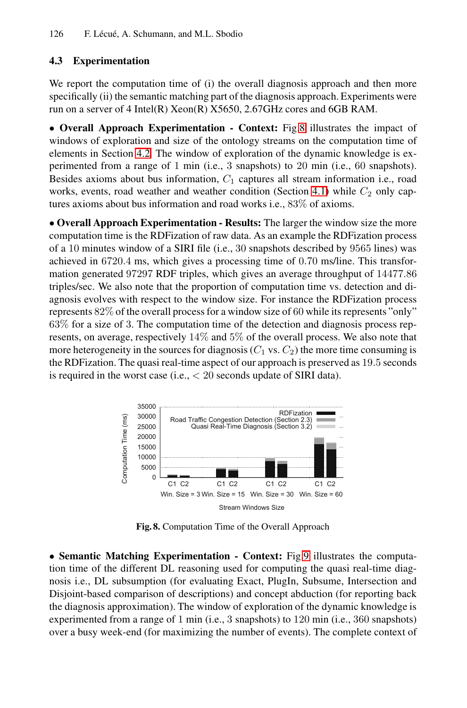#### **[4.3](#page-10-4) Experimentation**

We report the computation time of (i) the overall diagnosis approach and then more specifically (ii) the semantic matching part [of](#page-9-1) [th](#page-9-1)e diagnosis approach. Experiments were run on a server of 4 Intel(R) Xeon(R) X5650, 2.67GHz cores and 6GB RAM.

• **Overall Approach Experimentation - Context:** Fig.8 illustrates the impact of windows of exploration and size of the ontology streams on the computation time of elements in Section 4.2. The window of exploration of the dynamic knowledge is experimented from a range of 1 min (i.e., 3 snapshots) to 20 min (i.e., 60 snapshots). Besides axioms about bus information,  $C_1$  captures all stream information i.e., road works, events, road weather and weather condition (Section 4.1) while  $C_2$  only captures axioms about bus information and road works i.e., 83% of axioms.

• **Overall Approach Experimentation - Results:** The larger the window size the more computation time is the RDFization of raw data. As an example the RDFization process of a 10 minutes window of a SIRI file (i.e., 30 snapshots described by 9565 lines) was achieved in 6720.4 ms, which gives a processing time of 0.70 ms/line. This transformation generated 97297 RDF triples, which gives an average throughput of 14477.86 triples/sec. We also note that the proportion of computation time vs. detection and diagnosis evolves with respect to the window size. For instance the RDFization process represents 82% of the overall process for a window size of 60 while its represents "only" 63% for a size of 3. The computation time of the detection and diagnosis process represents, on average, respectively 14% and 5% of the overall process. We also note that more heterogeneity in the sources for diagnosis  $(C_1 \text{ vs. } C_2)$  the more time consuming is the RDFization. The quasi real-time aspect of our approach is preserved as 19.5 seconds is required in the worst case (i.e.,  $\lt$  20 seconds update of SIRI data).

<span id="page-12-0"></span>

**Fig. 8.** Computation Time of the Overall Approach

• **Semantic Matching Experimentation - Context:** Fig.9 illustrates the computation time of the different DL reasoning used for computing the quasi real-time diagnosis i.e., DL subsumption (for evaluating Exact, PlugIn, Subsume, Intersection and Disjoint-based comparison of descriptions) and concept abduction (for reporting back the diagnosis approximation). The window of exploration of the dynamic knowledge is experimented from a range of 1 min (i.e., 3 snapshots) to 120 min (i.e., 360 snapshots) over a busy week-end (for maximizing the number of events). The complete context of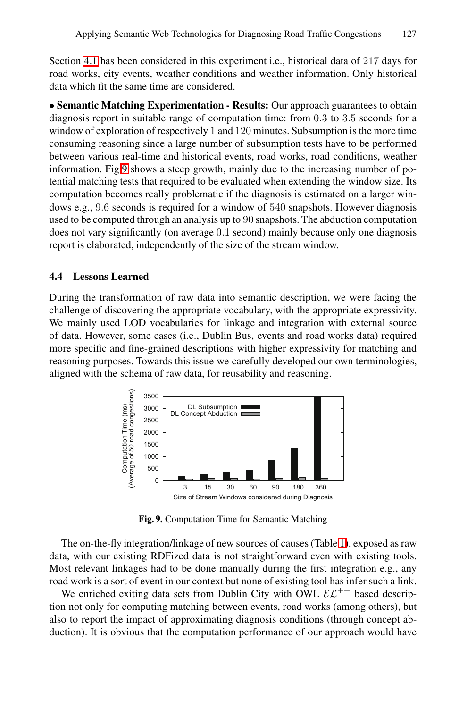Section 4.1 has been considered in this experiment i.e., historical data of 217 days for road works, city events, weather conditions and weather information. Only historical data which fit the same time are considered.

• **Semantic Matching Experimentation - Results:** Our approach guarantees to obtain diagnosis report in suitable range of computation time: from 0.3 to 3.5 seconds for a window of exploration of respectively 1 and 120 minutes. Subsumption is the more time consuming reasoning since a large number of subsumption tests have to be performed between various real-time and historical events, road works, road conditions, weather information. Fig.9 shows a steep growth, mainly due to the increasing number of potential matching tests that required to be evaluated when extending the window size. Its computation becomes really problematic if the diagnosis is estimated on a larger windows e.g., 9.6 seconds is required for a window of 540 snapshots. However diagnosis used to be computed through an analysis up to 90 snapshots. The abduction computation does not vary significantly (on average 0.1 second) mainly because only one diagnosis report is elaborated, independently of the size of the stream window.

## **4.4 Lessons Learned**

During the transformation of raw data into semantic description, we were facing the challenge of discovering the appropriate vocabulary, with the appropriate expressivity. We mainly used LOD vocabularies for linkage and integration with external source of data. However, some cases (i.e., Dublin Bus, events and road works data) required more specific and fine-grained descriptions with higher expressivity for matching and reasoning purposes. Towards this issue we carefully developed our own terminologies, aligned with the schema of raw data, for reusability and reasoning.



**Fig. 9.** Computation Time for Semantic Matching

The on-the-fly integration/linkage of new sources of causes (Table 1), exposed as raw data, with our existing RDFized data is not straightforward even with existing tools. Most relevant linkages had to be done manually during the first integration e.g., any road work is a sort of event in our context but none of existing tool has infer such a link.

We enriched exiting data sets from Dublin City with OWL  $\mathcal{EL}^{++}$  based description not only for computing matching between events, road works (among others), but also to report the impact of approximating diagnosis conditions (through concept abduction). It is obvious that the computation performance of our approach would have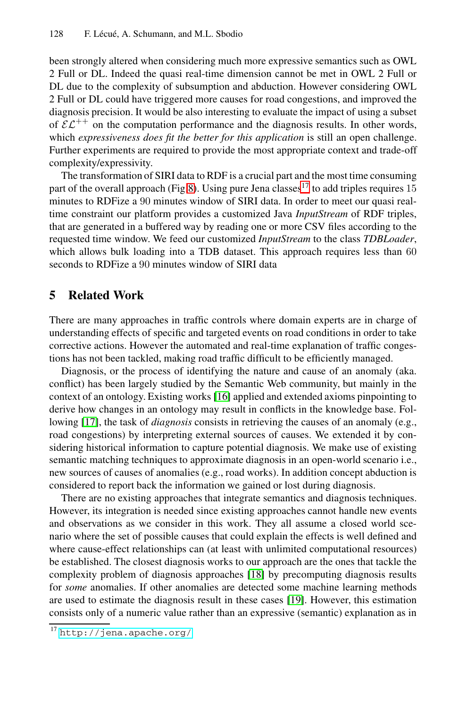been strongly altered when considering much more expressive semantics such as OWL 2 Full or DL. Indeed the quasi real-time dimension cannot be met in OWL 2 Full or DL due to t[he](#page-12-0) complexity of subsumpt[ion](#page-14-0) and abduction. However considering OWL 2 Full or DL could have triggered more causes for road congestions, and improved the diagnosis precision. It would be also interesting to evaluate the impact of using a subset of  $\mathcal{EL}^{++}$  on the computation performance and the diagnosis results. In other words, which *expressiveness does fit the better for this application* is still an open challenge. Further experiments are required to provide the most appropriate context and trade-off complexity/expressivity.

The transformation of SIRI data to RDF is a crucial part and the most time consuming part of the overall approach (Fig.8). Using pure Jena classes<sup>17</sup> to add triples requires 15 minutes to RDFize a 90 minutes window of SIRI data. In order to meet our quasi realtime constraint our platform provides a customized Java *InputStream* of RDF triples, that are generated in a buffered way by reading one or more CSV files according to the requested time window. We feed our customized *InputStream* to the class *TDBLoader*, which allows bulk loading into a TDB dataset. This approach requires less than 60 seconds to RDFize a 90 minutes window of SIRI data

## **5 Related Wo[rk](#page-16-6)**

There are many approaches in traffic controls where domain experts are in charge of understanding effects of specific and targeted events on road conditions in order to take corrective actions. However the automated and real-time explanation of traffic congestions has not been tackled, making road traffic difficult to be efficiently managed.

Diagnosis, or the process of identifying the nature and cause of an anomaly (aka. conflict) has been largely studied by the Semantic Web community, but mainly in the context of an ontology. Existing works [16] applied and extended axioms pinpointing to derive how changes in an ontology may result in conflicts in the knowledge base. Following [17], the task of *diagnosis* consists in retrieving the causes of an anomaly (e.g., road congestions) by interpreting external sources of causes. We extended it by considering historical information to capture potential diagnosis. We make use of existing semantic matching techniques to approximate diagnosis in an open-world scenario i.e., new sources of causes of an[om](#page-16-7)alies (e.g., road works). In addition concept abduction is considered to report back the information we gained or lost during diagnosis.

<span id="page-14-0"></span>There are no existing approaches [that](#page-16-8) integrate semantics and diagnosis techniques. However, its integration is needed since existing approaches cannot handle new events and observations as we consider in this work. They all assume a closed world sce[nario where th](http://jena.apache.org/)e set of possible causes that could explain the effects is well defined and where cause-effect relationships can (at least with unlimited computational resources) be established. The closest diagnosis works to our approach are the ones that tackle the complexity problem of diagnosis approaches [18] by precomputing diagnosis results for *some* anomalies. If other anomalies are detected some machine learning methods are used to estimate the diagnosis result in these cases [19]. However, this estimation consists only of a numeric value rather than an expressive (semantic) explanation as in

 $\frac{17}{17}$ http://jena.apache.org/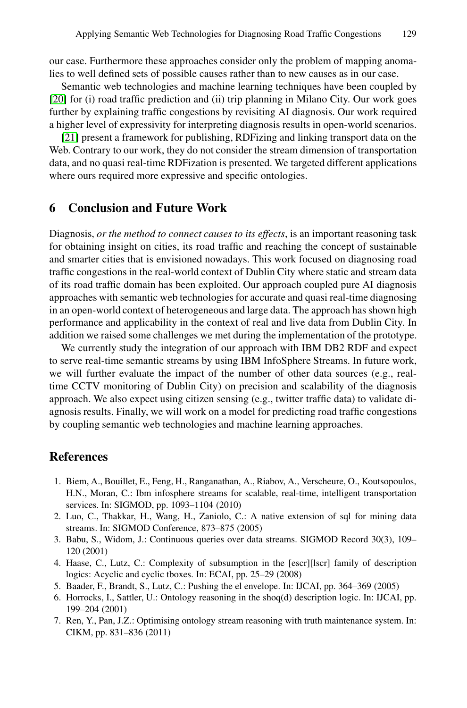<span id="page-15-3"></span>our case. Furthermore these approaches consider only the problem of mapping anomalies to well defined sets of possible causes rather than to new causes as in our case.

Semantic web technologies and machine learning techniques have been coupled by [20] for (i) road traffic prediction and (ii) trip planning in Milano City. Our work goes further by explaining traffic congestions by revisiting AI diagnosis. Our work required a higher level of expressivity for interpreting diagnosis results in open-world scenarios.

[21] present a framework for publishing, RDFizing and linking transport data on the Web. Contrary to our work, they do not consider the stream dimension of transportation data, and no quasi real-time RDFization is presented. We targeted different applications where ours required more expressive and specific ontologies.

## **6 Conclusion and Future Work**

<span id="page-15-0"></span>Diagnosis, *or the method to connect causes to its effects*, is an important reasoning task for obtaining insight on cities, its road traffic and reaching the concept of sustainable and smarter cities that is envisioned nowadays. This work focused on diagnosing road traffic congestions in the real-world context of Dublin City where static and stream data of its road traffic domain has been exploited. Our approach coupled pure AI diagnosis approaches with semantic web technologies for accurate and quasi real-time diagnosing in an open-world context of heterogeneous and large data. The approach has shown high performance and applicability in the context of real and live data from Dublin City. In addition we raised some challenges we met during the implementation of the prototype.

<span id="page-15-4"></span><span id="page-15-2"></span><span id="page-15-1"></span>We currently study the integration of our approach with IBM DB2 RDF and expect to serve real-time semantic streams by using IBM InfoSphere Streams. In future work, we will further evaluate the impact of the number of other data sources (e.g., realtime CCTV monitoring of Dublin City) on precision and scalability of the diagnosis approach. We also expect using citizen sensing (e.g., twitter traffic data) to validate diagnosis results. Finally, we will work on a model for predicting road traffic congestions by coupling semantic web technologies and machine learning approaches.

## <span id="page-15-5"></span>**References**

- 1. Biem, A., Bouillet, E., Feng, H., Ranganathan, A., Riabov, A., Verscheure, O., Koutsopoulos, H.N., Moran, C.: Ibm infosphere streams for scalable, real-time, intelligent transportation services. In: SIGMOD, pp. 1093–1104 (2010)
- 2. Luo, C., Thakkar, H., Wang, H., Zaniolo, C.: A native extension of sql for mining data streams. In: SIGMOD Conference, 873–875 (2005)
- 3. Babu, S., Widom, J.: Continuous queries over data streams. SIGMOD Record 30(3), 109– 120 (2001)
- 4. Haase, C., Lutz, C.: Complexity of subsumption in the [escr][lscr] family of description logics: Acyclic and cyclic tboxes. In: ECAI, pp. 25–29 (2008)
- 5. Baader, F., Brandt, S., Lutz, C.: Pushing the el envelope. In: IJCAI, pp. 364–369 (2005)
- 6. Horrocks, I., Sattler, U.: Ontology reasoning in the shoq(d) description logic. In: IJCAI, pp. 199–204 (2001)
- 7. Ren, Y., Pan, J.Z.: Optimising ontology stream reasoning with truth maintenance system. In: CIKM, pp. 831–836 (2011)